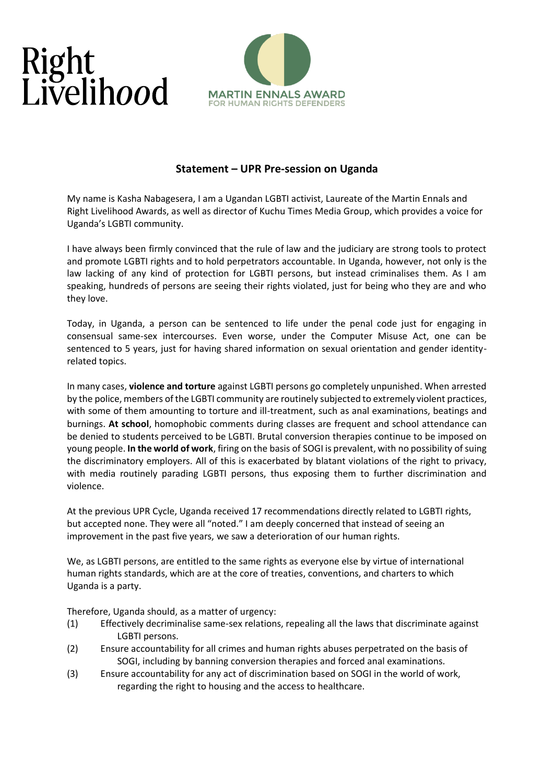## Right<br>Livelihood



## **Statement – UPR Pre-session on Uganda**

My name is Kasha Nabagesera, I am a Ugandan LGBTI activist, Laureate of the Martin Ennals and Right Livelihood Awards, as well as director of Kuchu Times Media Group, which provides a voice for Uganda's LGBTI community.

I have always been firmly convinced that the rule of law and the judiciary are strong tools to protect and promote LGBTI rights and to hold perpetrators accountable. In Uganda, however, not only is the law lacking of any kind of protection for LGBTI persons, but instead criminalises them. As I am speaking, hundreds of persons are seeing their rights violated, just for being who they are and who they love.

Today, in Uganda, a person can be sentenced to life under the penal code just for engaging in consensual same-sex intercourses. Even worse, under the Computer Misuse Act, one can be sentenced to 5 years, just for having shared information on sexual orientation and gender identityrelated topics.

In many cases, **violence and torture** against LGBTI persons go completely unpunished. When arrested by the police, members of the LGBTI community are routinely subjected to extremely violent practices, with some of them amounting to torture and ill-treatment, such as anal examinations, beatings and burnings. **At school**, homophobic comments during classes are frequent and school attendance can be denied to students perceived to be LGBTI. Brutal conversion therapies continue to be imposed on young people. **In the world of work**, firing on the basis of SOGI is prevalent, with no possibility of suing the discriminatory employers. All of this is exacerbated by blatant violations of the right to privacy, with media routinely parading LGBTI persons, thus exposing them to further discrimination and violence.

At the previous UPR Cycle, Uganda received 17 recommendations directly related to LGBTI rights, but accepted none. They were all "noted." I am deeply concerned that instead of seeing an improvement in the past five years, we saw a deterioration of our human rights.

We, as LGBTI persons, are entitled to the same rights as everyone else by virtue of international human rights standards, which are at the core of treaties, conventions, and charters to which Uganda is a party.

Therefore, Uganda should, as a matter of urgency:

- (1) Effectively decriminalise same-sex relations, repealing all the laws that discriminate against LGBTI persons.
- (2) Ensure accountability for all crimes and human rights abuses perpetrated on the basis of SOGI, including by banning conversion therapies and forced anal examinations.
- (3) Ensure accountability for any act of discrimination based on SOGI in the world of work, regarding the right to housing and the access to healthcare.